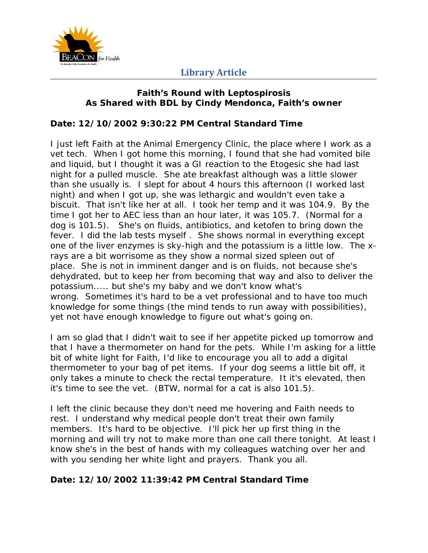

### **Faith's Round with Leptospirosis As Shared with BDL by Cindy Mendonca, Faith's owner**

### **Date: 12/10/2002 9:30:22 PM Central Standard Time**

I just left Faith at the Animal Emergency Clinic, the place where I work as a vet tech. When I got home this morning, I found that she had vomited bile and liquid, but I thought it was a GI reaction to the Etogesic she had last night for a pulled muscle. She ate breakfast although was a little slower than she usually is. I slept for about 4 hours this afternoon (I worked last night) and when I got up, she was lethargic and wouldn't even take a biscuit. That isn't like her at all. I took her temp and it was 104.9. By the time I got her to AEC less than an hour later, it was 105.7. (Normal for a dog is 101.5). She's on fluids, antibiotics, and ketofen to bring down the fever. I did the lab tests myself . She shows normal in everything except one of the liver enzymes is sky-high and the potassium is a little low. The xrays are a bit worrisome as they show a normal sized spleen out of place. She is not in imminent danger and is on fluids, not because she's dehydrated, but to keep her from becoming that way and also to deliver the potassium..... but she's my baby and we don't know what's wrong. Sometimes it's hard to be a vet professional and to have too much knowledge for some things (the mind tends to run away with possibilities), yet not have enough knowledge to figure out what's going on.

I am so glad that I didn't wait to see if her appetite picked up tomorrow and that I have a thermometer on hand for the pets. While I'm asking for a little bit of white light for Faith, I'd like to encourage you all to add a digital thermometer to your bag of pet items. If your dog seems a little bit off, it only takes a minute to check the rectal temperature. It it's elevated, then it's time to see the vet. (BTW, normal for a cat is also 101.5).

I left the clinic because they don't need me hovering and Faith needs to rest. I understand why medical people don't treat their own family members. It's hard to be objective. I'll pick her up first thing in the morning and will try not to make more than one call there tonight. At least I know she's in the best of hands with my colleagues watching over her and with you sending her white light and prayers. Thank you all.

## **Date: 12/10/2002 11:39:42 PM Central Standard Time**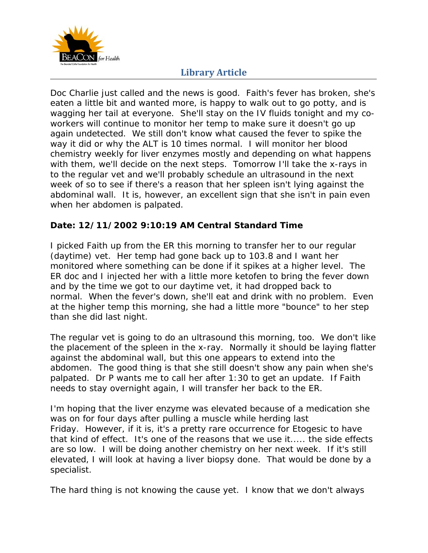

Doc Charlie just called and the news is good. Faith's fever has broken, she's eaten a little bit and wanted more, is happy to walk out to go potty, and is wagging her tail at everyone. She'll stay on the IV fluids tonight and my coworkers will continue to monitor her temp to make sure it doesn't go up again undetected. We still don't know what caused the fever to spike the way it did or why the ALT is 10 times normal. I will monitor her blood chemistry weekly for liver enzymes mostly and depending on what happens with them, we'll decide on the next steps. Tomorrow I'll take the x-rays in to the regular vet and we'll probably schedule an ultrasound in the next week of so to see if there's a reason that her spleen isn't lying against the abdominal wall. It is, however, an excellent sign that she isn't in pain even when her abdomen is palpated.

### **Date: 12/11/2002 9:10:19 AM Central Standard Time**

I picked Faith up from the ER this morning to transfer her to our regular (daytime) vet. Her temp had gone back up to 103.8 and I want her monitored where something can be done if it spikes at a higher level. The ER doc and I injected her with a little more ketofen to bring the fever down and by the time we got to our daytime vet, it had dropped back to normal. When the fever's down, she'll eat and drink with no problem. Even at the higher temp this morning, she had a little more "bounce" to her step than she did last night.

The regular vet is going to do an ultrasound this morning, too. We don't like the placement of the spleen in the x-ray. Normally it should be laying flatter against the abdominal wall, but this one appears to extend into the abdomen. The good thing is that she still doesn't show any pain when she's palpated. Dr P wants me to call her after 1:30 to get an update. If Faith needs to stay overnight again, I will transfer her back to the ER.

I'm hoping that the liver enzyme was elevated because of a medication she was on for four days after pulling a muscle while herding last Friday. However, if it is, it's a pretty rare occurrence for Etogesic to have that kind of effect. It's one of the reasons that we use it..... the side effects are so low. I will be doing another chemistry on her next week. If it's still elevated, I will look at having a liver biopsy done. That would be done by a specialist.

The hard thing is not knowing the cause yet. I know that we don't always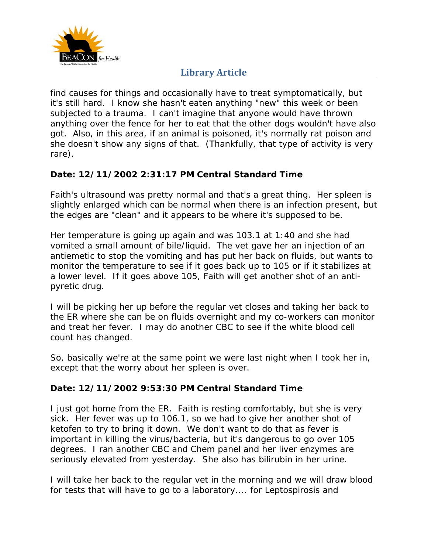

find causes for things and occasionally have to treat symptomatically, but it's still hard. I know she hasn't eaten anything "new" this week or been subjected to a trauma. I can't imagine that anyone would have thrown anything over the fence for her to eat that the other dogs wouldn't have also got. Also, in this area, if an animal is poisoned, it's normally rat poison and she doesn't show any signs of that. (Thankfully, that type of activity is very rare).

## **Date: 12/11/2002 2:31:17 PM Central Standard Time**

Faith's ultrasound was pretty normal and that's a great thing. Her spleen is slightly enlarged which can be normal when there is an infection present, but the edges are "clean" and it appears to be where it's supposed to be.

Her temperature is going up again and was 103.1 at 1:40 and she had vomited a small amount of bile/liquid. The vet gave her an injection of an antiemetic to stop the vomiting and has put her back on fluids, but wants to monitor the temperature to see if it goes back up to 105 or if it stabilizes at a lower level. If it goes above 105, Faith will get another shot of an antipyretic drug.

I will be picking her up before the regular vet closes and taking her back to the ER where she can be on fluids overnight and my co-workers can monitor and treat her fever. I may do another CBC to see if the white blood cell count has changed.

So, basically we're at the same point we were last night when I took her in, except that the worry about her spleen is over.

## **Date: 12/11/2002 9:53:30 PM Central Standard Time**

I just got home from the ER. Faith is resting comfortably, but she is very sick. Her fever was up to 106.1, so we had to give her another shot of ketofen to try to bring it down. We don't want to do that as fever is important in killing the virus/bacteria, but it's dangerous to go over 105 degrees. I ran another CBC and Chem panel and her liver enzymes are seriously elevated from yesterday. She also has bilirubin in her urine.

I will take her back to the regular vet in the morning and we will draw blood for tests that will have to go to a laboratory.... for Leptospirosis and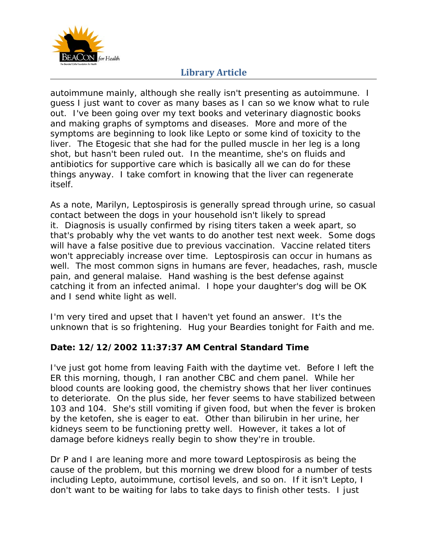

autoimmune mainly, although she really isn't presenting as autoimmune. I guess I just want to cover as many bases as I can so we know what to rule out. I've been going over my text books and veterinary diagnostic books and making graphs of symptoms and diseases. More and more of the symptoms are beginning to look like Lepto or some kind of toxicity to the liver. The Etogesic that she had for the pulled muscle in her leg is a long shot, but hasn't been ruled out. In the meantime, she's on fluids and antibiotics for supportive care which is basically all we can do for these things anyway. I take comfort in knowing that the liver can regenerate itself.

As a note, Marilyn, Leptospirosis is generally spread through urine, so casual contact between the dogs in your household isn't likely to spread it. Diagnosis is usually confirmed by rising titers taken a week apart, so that's probably why the vet wants to do another test next week. Some dogs will have a false positive due to previous vaccination. Vaccine related titers won't appreciably increase over time. Leptospirosis can occur in humans as well. The most common signs in humans are fever, headaches, rash, muscle pain, and general malaise. Hand washing is the best defense against catching it from an infected animal. I hope your daughter's dog will be OK and I send white light as well.

I'm very tired and upset that I haven't yet found an answer. It's the unknown that is so frightening. Hug your Beardies tonight for Faith and me.

## **Date: 12/12/2002 11:37:37 AM Central Standard Time**

I've just got home from leaving Faith with the daytime vet. Before I left the ER this morning, though, I ran another CBC and chem panel. While her blood counts are looking good, the chemistry shows that her liver continues to deteriorate. On the plus side, her fever seems to have stabilized between 103 and 104. She's still vomiting if given food, but when the fever is broken by the ketofen, she is eager to eat. Other than bilirubin in her urine, her kidneys seem to be functioning pretty well. However, it takes a lot of damage before kidneys really begin to show they're in trouble.

Dr P and I are leaning more and more toward Leptospirosis as being the cause of the problem, but this morning we drew blood for a number of tests including Lepto, autoimmune, cortisol levels, and so on. If it isn't Lepto, I don't want to be waiting for labs to take days to finish other tests. I just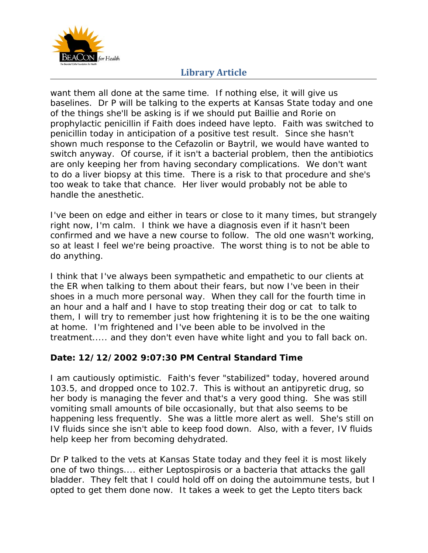

want them all done at the same time. If nothing else, it will give us baselines. Dr P will be talking to the experts at Kansas State today and one of the things she'll be asking is if we should put Baillie and Rorie on prophylactic penicillin if Faith does indeed have lepto. Faith was switched to penicillin today in anticipation of a positive test result. Since she hasn't shown much response to the Cefazolin or Baytril, we would have wanted to switch anyway. Of course, if it isn't a bacterial problem, then the antibiotics are only keeping her from having secondary complications. We don't want to do a liver biopsy at this time. There is a risk to that procedure and she's too weak to take that chance. Her liver would probably not be able to handle the anesthetic.

I've been on edge and either in tears or close to it many times, but strangely right now, I'm calm. I think we have a diagnosis even if it hasn't been confirmed and we have a new course to follow. The old one wasn't working, so at least I feel we're being proactive. The worst thing is to not be able to do anything.

I think that I've always been sympathetic and empathetic to our clients at the ER when talking to them about their fears, but now I've been in their shoes in a much more personal way. When they call for the fourth time in an hour and a half and I have to stop treating their dog or cat to talk to them, I will try to remember just how frightening it is to be the one waiting at home. I'm frightened and I've been able to be involved in the treatment..... and they don't even have white light and you to fall back on.

## **Date: 12/12/2002 9:07:30 PM Central Standard Time**

I am cautiously optimistic. Faith's fever "stabilized" today, hovered around 103.5, and dropped once to 102.7. This is without an antipyretic drug, so her body is managing the fever and that's a very good thing. She was still vomiting small amounts of bile occasionally, but that also seems to be happening less frequently. She was a little more alert as well. She's still on IV fluids since she isn't able to keep food down. Also, with a fever, IV fluids help keep her from becoming dehydrated.

Dr P talked to the vets at Kansas State today and they feel it is most likely one of two things.... either Leptospirosis or a bacteria that attacks the gall bladder. They felt that I could hold off on doing the autoimmune tests, but I opted to get them done now. It takes a week to get the Lepto titers back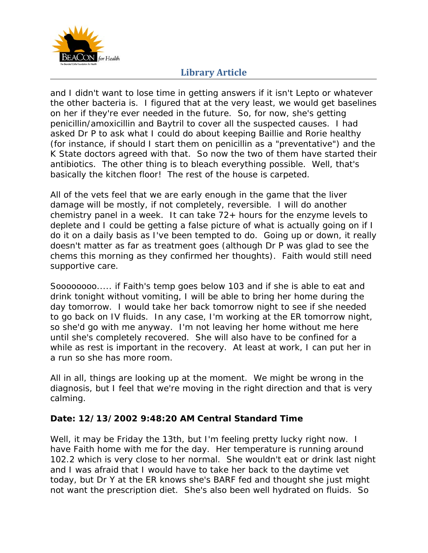

and I didn't want to lose time in getting answers if it isn't Lepto or whatever the other bacteria is. I figured that at the very least, we would get baselines on her if they're ever needed in the future. So, for now, she's getting penicillin/amoxicillin and Baytril to cover all the suspected causes. I had asked Dr P to ask what I could do about keeping Baillie and Rorie healthy (for instance, if should I start them on penicillin as a "preventative") and the K State doctors agreed with that. So now the two of them have started their antibiotics. The other thing is to bleach everything possible. Well, that's basically the kitchen floor! The rest of the house is carpeted.

All of the vets feel that we are early enough in the game that the liver damage will be mostly, if not completely, reversible. I will do another chemistry panel in a week. It can take  $72+$  hours for the enzyme levels to deplete and I could be getting a false picture of what is actually going on if I do it on a daily basis as I've been tempted to do. Going up or down, it really doesn't matter as far as treatment goes (although Dr P was glad to see the chems this morning as they confirmed her thoughts). Faith would still need supportive care.

Soooooooo..... if Faith's temp goes below 103 and if she is able to eat and drink tonight without vomiting, I will be able to bring her home during the day tomorrow. I would take her back tomorrow night to see if she needed to go back on IV fluids. In any case, I'm working at the ER tomorrow night, so she'd go with me anyway. I'm not leaving her home without me here until she's completely recovered. She will also have to be confined for a while as rest is important in the recovery. At least at work, I can put her in a run so she has more room.

All in all, things are looking up at the moment. We might be wrong in the diagnosis, but I feel that we're moving in the right direction and that is very calming.

## **Date: 12/13/2002 9:48:20 AM Central Standard Time**

Well, it may be Friday the 13th, but I'm feeling pretty lucky right now. I have Faith home with me for the day. Her temperature is running around 102.2 which is very close to her normal. She wouldn't eat or drink last night and I was afraid that I would have to take her back to the daytime vet today, but Dr Y at the ER knows she's BARF fed and thought she just might not want the prescription diet. She's also been well hydrated on fluids. So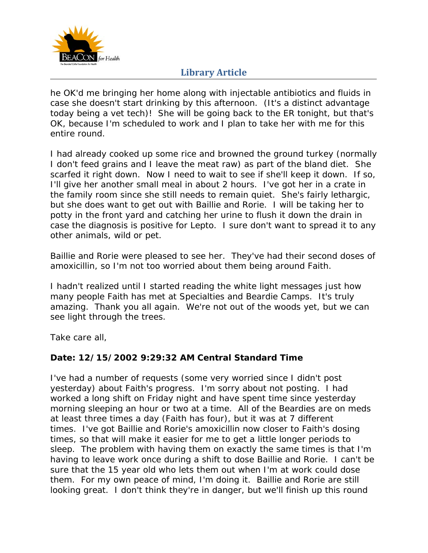

he OK'd me bringing her home along with injectable antibiotics and fluids in case she doesn't start drinking by this afternoon. (It's a distinct advantage today being a vet tech)! She will be going back to the ER tonight, but that's OK, because I'm scheduled to work and I plan to take her with me for this entire round.

I had already cooked up some rice and browned the ground turkey (normally I don't feed grains and I leave the meat raw) as part of the bland diet. She scarfed it right down. Now I need to wait to see if she'll keep it down. If so, I'll give her another small meal in about 2 hours. I've got her in a crate in the family room since she still needs to remain quiet. She's fairly lethargic, but she does want to get out with Baillie and Rorie. I will be taking her to potty in the front yard and catching her urine to flush it down the drain in case the diagnosis is positive for Lepto. I sure don't want to spread it to any other animals, wild or pet.

Baillie and Rorie were pleased to see her. They've had their second doses of amoxicillin, so I'm not too worried about them being around Faith.

I hadn't realized until I started reading the white light messages just how many people Faith has met at Specialties and Beardie Camps. It's truly amazing. Thank you all again. We're not out of the woods yet, but we can see light through the trees.

Take care all,

#### **Date: 12/15/2002 9:29:32 AM Central Standard Time**

I've had a number of requests (some very worried since I didn't post yesterday) about Faith's progress. I'm sorry about not posting. I had worked a long shift on Friday night and have spent time since yesterday morning sleeping an hour or two at a time. All of the Beardies are on meds at least three times a day (Faith has four), but it was at 7 different times. I've got Baillie and Rorie's amoxicillin now closer to Faith's dosing times, so that will make it easier for me to get a little longer periods to sleep. The problem with having them on exactly the same times is that I'm having to leave work once during a shift to dose Baillie and Rorie. I can't be sure that the 15 year old who lets them out when I'm at work could dose them. For my own peace of mind, I'm doing it. Baillie and Rorie are still looking great. I don't think they're in danger, but we'll finish up this round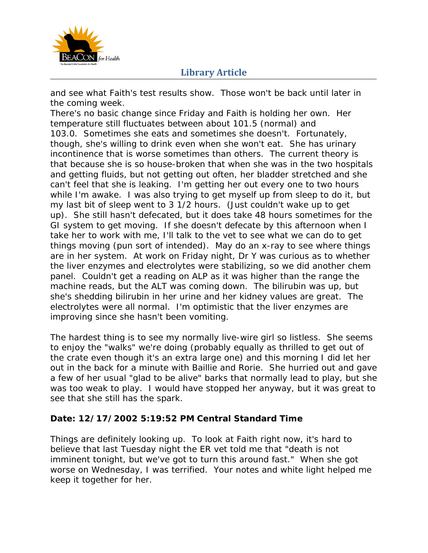

and see what Faith's test results show. Those won't be back until later in the coming week.

There's no basic change since Friday and Faith is holding her own. Her temperature still fluctuates between about 101.5 (normal) and 103.0. Sometimes she eats and sometimes she doesn't. Fortunately, though, she's willing to drink even when she won't eat. She has urinary incontinence that is worse sometimes than others. The current theory is that because she is so house-broken that when she was in the two hospitals and getting fluids, but not getting out often, her bladder stretched and she can't feel that she is leaking. I'm getting her out every one to two hours while I'm awake. I was also trying to get myself up from sleep to do it, but my last bit of sleep went to 3 1/2 hours. (Just couldn't wake up to get up). She still hasn't defecated, but it does take 48 hours sometimes for the GI system to get moving. If she doesn't defecate by this afternoon when I take her to work with me, I'll talk to the vet to see what we can do to get things moving (pun sort of intended). May do an x-ray to see where things are in her system. At work on Friday night, Dr Y was curious as to whether the liver enzymes and electrolytes were stabilizing, so we did another chem panel. Couldn't get a reading on ALP as it was higher than the range the machine reads, but the ALT was coming down. The bilirubin was up, but she's shedding bilirubin in her urine and her kidney values are great. The electrolytes were all normal. I'm optimistic that the liver enzymes are improving since she hasn't been vomiting.

The hardest thing is to see my normally live-wire girl so listless. She seems to enjoy the "walks" we're doing (probably equally as thrilled to get out of the crate even though it's an extra large one) and this morning I did let her out in the back for a minute with Baillie and Rorie. She hurried out and gave a few of her usual "glad to be alive" barks that normally lead to play, but she was too weak to play. I would have stopped her anyway, but it was great to see that she still has the spark.

## **Date: 12/17/2002 5:19:52 PM Central Standard Time**

Things are definitely looking up. To look at Faith right now, it's hard to believe that last Tuesday night the ER vet told me that "death is not imminent tonight, but we've got to turn this around fast." When she got worse on Wednesday, I was terrified. Your notes and white light helped me keep it together for her.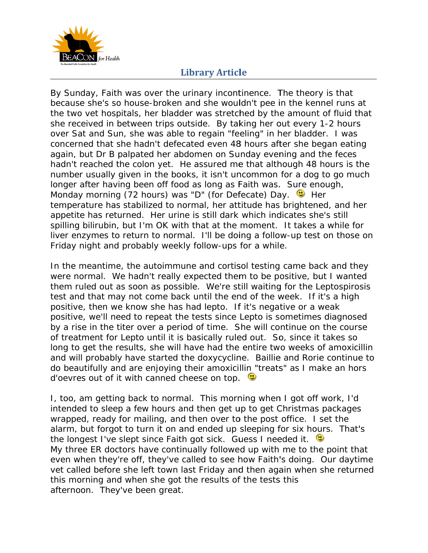

By Sunday, Faith was over the urinary incontinence. The theory is that because she's so house-broken and she wouldn't pee in the kennel runs at the two vet hospitals, her bladder was stretched by the amount of fluid that she received in between trips outside. By taking her out every 1-2 hours over Sat and Sun, she was able to regain "feeling" in her bladder. I was concerned that she hadn't defecated even 48 hours after she began eating again, but Dr B palpated her abdomen on Sunday evening and the feces hadn't reached the colon yet. He assured me that although 48 hours is the number usually given in the books, it isn't uncommon for a dog to go much longer after having been off food as long as Faith was. Sure enough, Monday morning (72 hours) was "D" (for Defecate) Day. (We Her temperature has stabilized to normal, her attitude has brightened, and her appetite has returned. Her urine is still dark which indicates she's still spilling bilirubin, but I'm OK with that at the moment. It takes a while for liver enzymes to return to normal. I'll be doing a follow-up test on those on Friday night and probably weekly follow-ups for a while.

In the meantime, the autoimmune and cortisol testing came back and they were normal. We hadn't really expected them to be positive, but I wanted them ruled out as soon as possible. We're still waiting for the Leptospirosis test and that may not come back until the end of the week. If it's a high positive, then we know she has had lepto. If it's negative or a weak positive, we'll need to repeat the tests since Lepto is sometimes diagnosed by a rise in the titer over a period of time. She will continue on the course of treatment for Lepto until it is basically ruled out. So, since it takes so long to get the results, she will have had the entire two weeks of amoxicillin and will probably have started the doxycycline. Baillie and Rorie continue to do beautifully and are enjoying their amoxicillin "treats" as I make an hors d'oevres out of it with canned cheese on top.

I, too, am getting back to normal. This morning when I got off work, I'd intended to sleep a few hours and then get up to get Christmas packages wrapped, ready for mailing, and then over to the post office. I set the intended to sleep a few hours and then get up to get Christmas packages<br>wrapped, ready for mailing, and then over to the post office. I set the<br>alarm, but forgot to turn it on and ended up sleeping for six hours. That's the longest I've slept since Faith got sick. Guess I needed it. My three ER doctors have continually followed up with me to the point that even when they're off, they've called to see how Faith's doing. Our daytime vet called before she left town last Friday and then again when she returned this morning and when she got the results of the tests this afternoon. They've been great.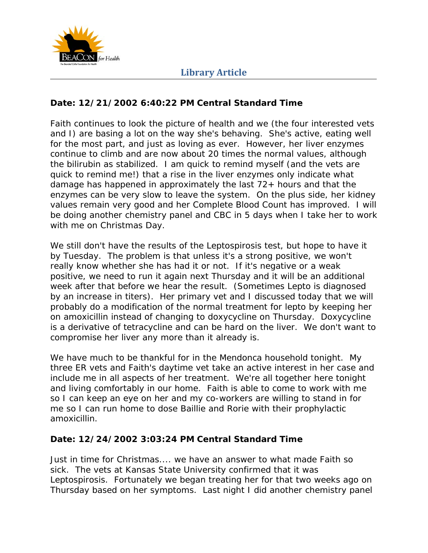

#### **Date: 12/21/2002 6:40:22 PM Central Standard Time**

Faith continues to look the picture of health and we (the four interested vets and I) are basing a lot on the way she's behaving. She's active, eating well for the most part, and just as loving as ever. However, her liver enzymes continue to climb and are now about 20 times the normal values, although the bilirubin as stabilized. I am quick to remind myself (and the vets are quick to remind me!) that a rise in the liver enzymes only indicate what damage has happened in approximately the last 72+ hours and that the enzymes can be very slow to leave the system. On the plus side, her kidney values remain very good and her Complete Blood Count has improved. I will be doing another chemistry panel and CBC in 5 days when I take her to work with me on Christmas Day.

We still don't have the results of the Leptospirosis test, but hope to have it by Tuesday. The problem is that unless it's a strong positive, we won't really know whether she has had it or not. If it's negative or a weak positive, we need to run it again next Thursday and it will be an additional week after that before we hear the result. (Sometimes Lepto is diagnosed by an increase in titers). Her primary vet and I discussed today that we will probably do a modification of the normal treatment for lepto by keeping her on amoxicillin instead of changing to doxycycline on Thursday. Doxycycline is a derivative of tetracycline and can be hard on the liver. We don't want to compromise her liver any more than it already is.

We have much to be thankful for in the Mendonca household tonight. My three ER vets and Faith's daytime vet take an active interest in her case and include me in all aspects of her treatment. We're all together here tonight and living comfortably in our home. Faith is able to come to work with me so I can keep an eye on her and my co-workers are willing to stand in for me so I can run home to dose Baillie and Rorie with their prophylactic amoxicillin.

#### **Date: 12/24/2002 3:03:24 PM Central Standard Time**

Just in time for Christmas.... we have an answer to what made Faith so sick. The vets at Kansas State University confirmed that it was Leptospirosis. Fortunately we began treating her for that two weeks ago on Thursday based on her symptoms. Last night I did another chemistry panel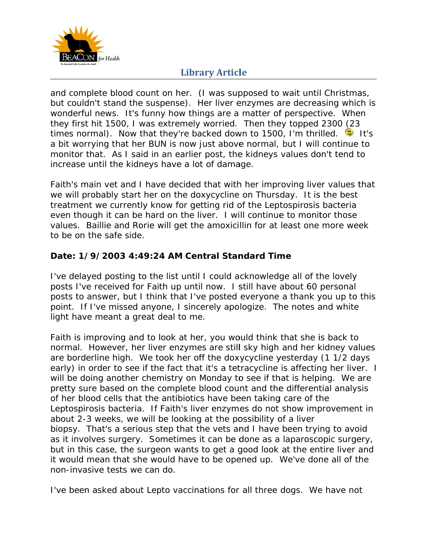

and complete blood count on her. (I was supposed to wait until Christmas, but couldn't stand the suspense). Her liver enzymes are decreasing which is wonderful news. It's funny how things are a matter of perspective. When they first hit 1500, I was extremely worried. Then they topped 2300 (23 times normal). Now that they're backed down to 1500, I'm thrilled. <sup>1</sup> It's a bit worrying that her BUN is now just above normal, but I will continue to monitor that. As I said in an earlier post, the kidneys values don't tend to increase until the kidneys have a lot of damage.

Faith's main vet and I have decided that with her improving liver values that we will probably start her on the doxycycline on Thursday. It is the best treatment we currently know for getting rid of the Leptospirosis bacteria even though it can be hard on the liver. I will continue to monitor those values. Baillie and Rorie will get the amoxicillin for at least one more week to be on the safe side.

### Date: 1/9/2003 4:49:24 AM Central Standard Time

I've delayed posting to the list until I could acknowledge all of the lovely posts I've received for Faith up until now. I still have about 60 personal posts to answer, but I think that I've posted everyone a thank you up to this point. If I've missed anyone, I sincerely apologize. The notes and white light have meant a great deal to me.

Faith is improving and to look at her, you would think that she is back to normal. However, her liver enzymes are still sky high and her kidney values are borderline high. We took her off the doxycycline yesterday (1 1/2 days early) in order to see if the fact that it's a tetracycline is affecting her liver. I will be doing another chemistry on Monday to see if that is helping. We are pretty sure based on the complete blood count and the differential analysis of her blood cells that the antibiotics have been taking care of the Leptospirosis bacteria. If Faith's liver enzymes do not show improvement in about 2-3 weeks, we will be looking at the possibility of a liver biopsy. That's a serious step that the vets and I have been trying to avoid as it involves surgery. Sometimes it can be done as a laparoscopic surgery, but in this case, the surgeon wants to get a good look at the entire liver and it would mean that she would have to be opened up. We've done all of the non-invasive tests we can do.

I've been asked about Lepto vaccinations for all three dogs. We have not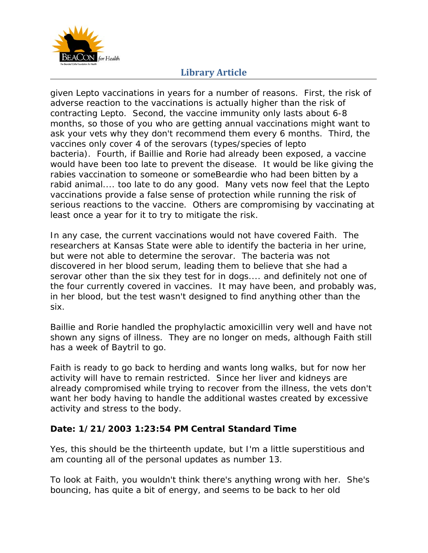

given Lepto vaccinations in years for a number of reasons. First, the risk of adverse reaction to the vaccinations is actually higher than the risk of contracting Lepto. Second, the vaccine immunity only lasts about 6-8 months, so those of you who are getting annual vaccinations might want to ask your vets why they don't recommend them every 6 months. Third, the vaccines only cover 4 of the serovars (types/species of lepto bacteria). Fourth, if Baillie and Rorie had already been exposed, a vaccine would have been too late to prevent the disease. It would be like giving the rabies vaccination to someone or someBeardie who had been bitten by a rabid animal.... too late to do any good. Many vets now feel that the Lepto vaccinations provide a false sense of protection while running the risk of serious reactions to the vaccine. Others are compromising by vaccinating at least once a year for it to try to mitigate the risk.

In any case, the current vaccinations would not have covered Faith. The researchers at Kansas State were able to identify the bacteria in her urine, but were not able to determine the serovar. The bacteria was not discovered in her blood serum, leading them to believe that she had a serovar other than the six they test for in dogs.... and definitely not one of the four currently covered in vaccines. It may have been, and probably was, in her blood, but the test wasn't designed to find anything other than the six.

Baillie and Rorie handled the prophylactic amoxicillin very well and have not shown any signs of illness. They are no longer on meds, although Faith still has a week of Baytril to go.

Faith is ready to go back to herding and wants long walks, but for now her activity will have to remain restricted. Since her liver and kidneys are already compromised while trying to recover from the illness, the vets don't want her body having to handle the additional wastes created by excessive activity and stress to the body.

## **Date: 1/21/2003 1:23:54 PM Central Standard Time**

Yes, this should be the thirteenth update, but I'm a little superstitious and am counting all of the personal updates as number 13.

To look at Faith, you wouldn't think there's anything wrong with her. She's bouncing, has quite a bit of energy, and seems to be back to her old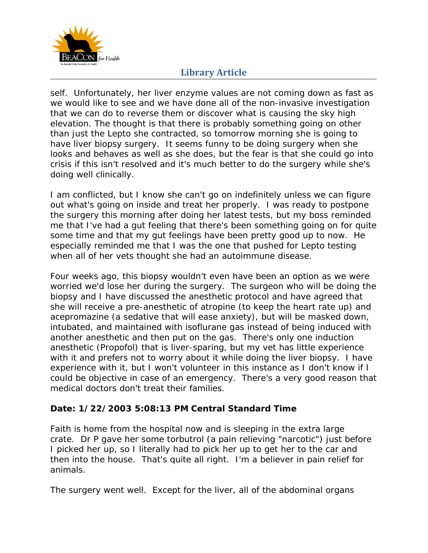

self. Unfortunately, her liver enzyme values are not coming down as fast as we would like to see and we have done all of the non-invasive investigation that we can do to reverse them or discover what is causing the sky high elevation. The thought is that there is probably something going on other than just the Lepto she contracted, so tomorrow morning she is going to have liver biopsy surgery. It seems funny to be doing surgery when she looks and behaves as well as she does, but the fear is that she could go into crisis if this isn't resolved and it's much better to do the surgery while she's doing well clinically.

I am conflicted, but I know she can't go on indefinitely unless we can figure out what's going on inside and treat her properly. I was ready to postpone the surgery this morning after doing her latest tests, but my boss reminded me that I've had a gut feeling that there's been something going on for quite some time and that my gut feelings have been pretty good up to now. He especially reminded me that I was the one that pushed for Lepto testing when all of her vets thought she had an autoimmune disease.

Four weeks ago, this biopsy wouldn't even have been an option as we were worried we'd lose her during the surgery. The surgeon who will be doing the biopsy and I have discussed the anesthetic protocol and have agreed that she will receive a pre-anesthetic of atropine (to keep the heart rate up) and acepromazine (a sedative that will ease anxiety), but will be masked down, intubated, and maintained with isoflurane gas instead of being induced with another anesthetic and then put on the gas. There's only one induction anesthetic (Propofol) that is liver-sparing, but my vet has little experience with it and prefers not to worry about it while doing the liver biopsy. I have experience with it, but I won't volunteer in this instance as I don't know if I could be objective in case of an emergency. There's a very good reason that medical doctors don't treat their families.

## **Date: 1/22/2003 5:08:13 PM Central Standard Time**

Faith is home from the hospital now and is sleeping in the extra large crate. Dr P gave her some torbutrol (a pain relieving "narcotic") just before I picked her up, so I literally had to pick her up to get her to the car and then into the house. That's quite all right. I'm a believer in pain relief for animals.

The surgery went well. Except for the liver, all of the abdominal organs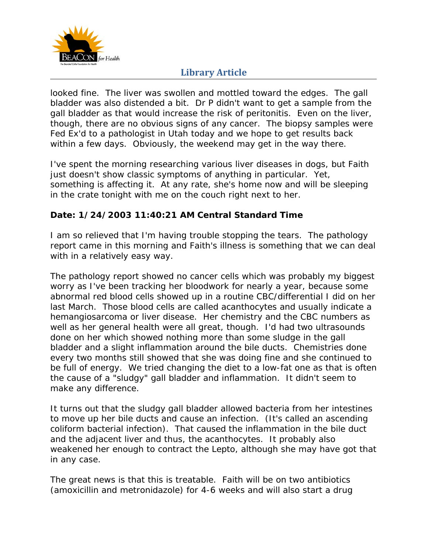

looked fine. The liver was swollen and mottled toward the edges. The gall bladder was also distended a bit. Dr P didn't want to get a sample from the gall bladder as that would increase the risk of peritonitis. Even on the liver, though, there are no obvious signs of any cancer. The biopsy samples were Fed Ex'd to a pathologist in Utah today and we hope to get results back within a few days. Obviously, the weekend may get in the way there.

I've spent the morning researching various liver diseases in dogs, but Faith just doesn't show classic symptoms of anything in particular. Yet, something is affecting it. At any rate, she's home now and will be sleeping in the crate tonight with me on the couch right next to her.

## **Date: 1/24/2003 11:40:21 AM Central Standard Time**

I am so relieved that I'm having trouble stopping the tears. The pathology report came in this morning and Faith's illness is something that we can deal with in a relatively easy way.

The pathology report showed no cancer cells which was probably my biggest worry as I've been tracking her bloodwork for nearly a year, because some abnormal red blood cells showed up in a routine CBC/differential I did on her last March. Those blood cells are called acanthocytes and usually indicate a hemangiosarcoma or liver disease. Her chemistry and the CBC numbers as well as her general health were all great, though. I'd had two ultrasounds done on her which showed nothing more than some sludge in the gall bladder and a slight inflammation around the bile ducts. Chemistries done every two months still showed that she was doing fine and she continued to be full of energy. We tried changing the diet to a low-fat one as that is often the cause of a "sludgy" gall bladder and inflammation. It didn't seem to make any difference.

It turns out that the sludgy gall bladder allowed bacteria from her intestines to move up her bile ducts and cause an infection. (It's called an ascending coliform bacterial infection). That caused the inflammation in the bile duct and the adjacent liver and thus, the acanthocytes. It probably also weakened her enough to contract the Lepto, although she may have got that in any case.

The great news is that this is treatable. Faith will be on two antibiotics (amoxicillin and metronidazole) for 4-6 weeks and will also start a drug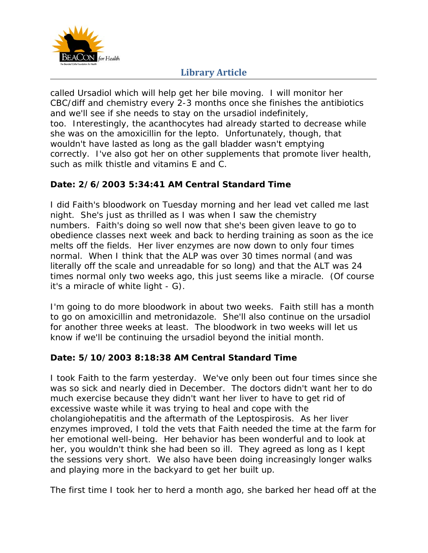

called Ursadiol which will help get her bile moving. I will monitor her CBC/diff and chemistry every 2-3 months once she finishes the antibiotics and we'll see if she needs to stay on the ursadiol indefinitely, too. Interestingly, the acanthocytes had already started to decrease while she was on the amoxicillin for the lepto. Unfortunately, though, that wouldn't have lasted as long as the gall bladder wasn't emptying correctly. I've also got her on other supplements that promote liver health, such as milk thistle and vitamins E and C.

## **Date: 2/6/2003 5:34:41 AM Central Standard Time**

I did Faith's bloodwork on Tuesday morning and her lead vet called me last night. She's just as thrilled as I was when I saw the chemistry numbers. Faith's doing so well now that she's been given leave to go to obedience classes next week and back to herding training as soon as the ice melts off the fields. Her liver enzymes are now down to only four times normal. When I think that the ALP was over 30 times normal (and was literally off the scale and unreadable for so long) and that the ALT was 24 times normal only two weeks ago, this just seems like a miracle. (Of course it's a miracle of white light - G).

I'm going to do more bloodwork in about two weeks. Faith still has a month to go on amoxicillin and metronidazole. She'll also continue on the ursadiol for another three weeks at least. The bloodwork in two weeks will let us know if we'll be continuing the ursadiol beyond the initial month.

## **Date: 5/10/2003 8:18:38 AM Central Standard Time**

I took Faith to the farm yesterday. We've only been out four times since she was so sick and nearly died in December. The doctors didn't want her to do much exercise because they didn't want her liver to have to get rid of excessive waste while it was trying to heal and cope with the cholangiohepatitis and the aftermath of the Leptospirosis. As her liver enzymes improved, I told the vets that Faith needed the time at the farm for her emotional well-being. Her behavior has been wonderful and to look at her, you wouldn't think she had been so ill. They agreed as long as I kept the sessions very short. We also have been doing increasingly longer walks and playing more in the backyard to get her built up.

The first time I took her to herd a month ago, she barked her head off at the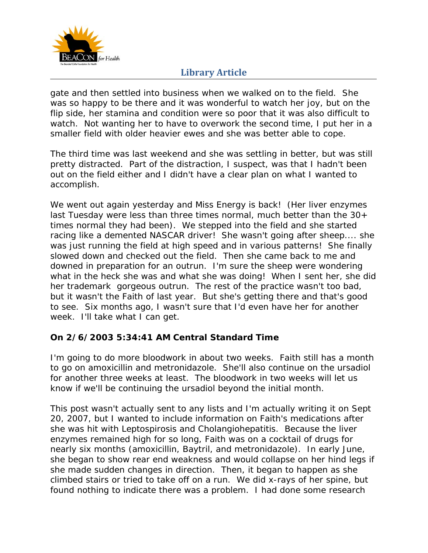

gate and then settled into business when we walked on to the field. She was so happy to be there and it was wonderful to watch her joy, but on the flip side, her stamina and condition were so poor that it was also difficult to watch. Not wanting her to have to overwork the second time, I put her in a smaller field with older heavier ewes and she was better able to cope.

The third time was last weekend and she was settling in better, but was still pretty distracted. Part of the distraction, I suspect, was that I hadn't been out on the field either and I didn't have a clear plan on what I wanted to accomplish.

We went out again yesterday and Miss Energy is back! (Her liver enzymes last Tuesday were less than three times normal, much better than the 30+ times normal they had been). We stepped into the field and she started racing like a demented NASCAR driver! She wasn't going after sheep.... she was just running the field at high speed and in various patterns! She finally slowed down and checked out the field. Then she came back to me and downed in preparation for an outrun. I'm sure the sheep were wondering what in the heck she was and what she was doing! When I sent her, she did her trademark gorgeous outrun. The rest of the practice wasn't too bad, but it wasn't the Faith of last year. But she's getting there and that's good to see. Six months ago, I wasn't sure that I'd even have her for another week. I'll take what I can get.

## **On 2/6/2003 5:34:41 AM Central Standard Time**

I'm going to do more bloodwork in about two weeks. Faith still has a month to go on amoxicillin and metronidazole. She'll also continue on the ursadiol for another three weeks at least. The bloodwork in two weeks will let us know if we'll be continuing the ursadiol beyond the initial month.

This post wasn't actually sent to any lists and I'm actually writing it on Sept 20, 2007, but I wanted to include information on Faith's medications after she was hit with Leptospirosis and Cholangiohepatitis. Because the liver enzymes remained high for so long, Faith was on a cocktail of drugs for nearly six months (amoxicillin, Baytril, and metronidazole). In early June, she began to show rear end weakness and would collapse on her hind legs if she made sudden changes in direction. Then, it began to happen as she climbed stairs or tried to take off on a run. We did x-rays of her spine, but found nothing to indicate there was a problem. I had done some research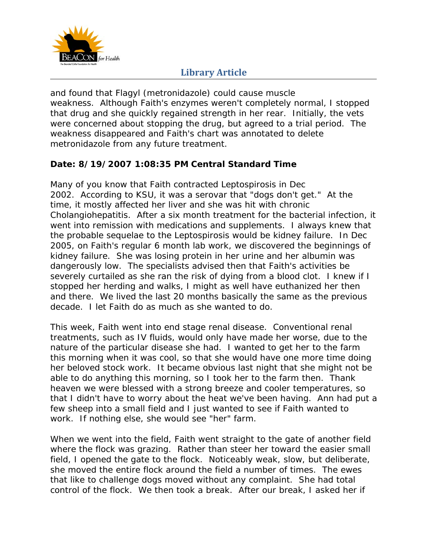

and found that Flagyl (metronidazole) could cause muscle weakness. Although Faith's enzymes weren't completely normal, I stopped that drug and she quickly regained strength in her rear. Initially, the vets were concerned about stopping the drug, but agreed to a trial period. The weakness disappeared and Faith's chart was annotated to delete metronidazole from any future treatment.

## **Date: 8/19/2007 1:08:35 PM Central Standard Time**

Many of you know that Faith contracted Leptospirosis in Dec 2002. According to KSU, it was a serovar that "dogs don't get." At the time, it mostly affected her liver and she was hit with chronic Cholangiohepatitis. After a six month treatment for the bacterial infection, it went into remission with medications and supplements. I always knew that the probable sequelae to the Leptospirosis would be kidney failure. In Dec 2005, on Faith's regular 6 month lab work, we discovered the beginnings of kidney failure. She was losing protein in her urine and her albumin was dangerously low. The specialists advised then that Faith's activities be severely curtailed as she ran the risk of dying from a blood clot. I knew if I stopped her herding and walks, I might as well have euthanized her then and there. We lived the last 20 months basically the same as the previous decade. I let Faith do as much as she wanted to do.

This week, Faith went into end stage renal disease. Conventional renal treatments, such as IV fluids, would only have made her worse, due to the nature of the particular disease she had. I wanted to get her to the farm this morning when it was cool, so that she would have one more time doing her beloved stock work. It became obvious last night that she might not be able to do anything this morning, so I took her to the farm then. Thank heaven we were blessed with a strong breeze and cooler temperatures, so that I didn't have to worry about the heat we've been having. Ann had put a few sheep into a small field and I just wanted to see if Faith wanted to work. If nothing else, she would see "her" farm.

When we went into the field, Faith went straight to the gate of another field where the flock was grazing. Rather than steer her toward the easier small field, I opened the gate to the flock. Noticeably weak, slow, but deliberate, she moved the entire flock around the field a number of times. The ewes that like to challenge dogs moved without any complaint. She had total control of the flock. We then took a break. After our break, I asked her if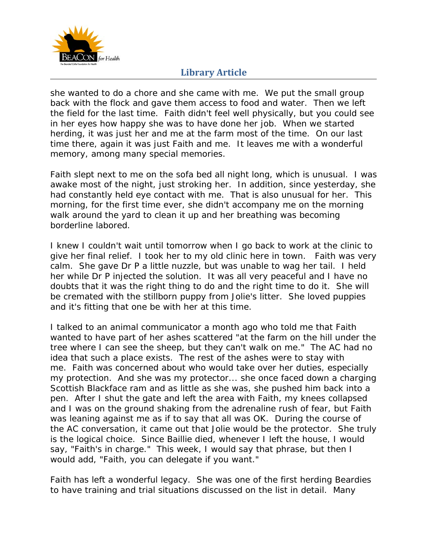

she wanted to do a chore and she came with me. We put the small group back with the flock and gave them access to food and water. Then we left the field for the last time. Faith didn't feel well physically, but you could see in her eyes how happy she was to have done her job. When we started herding, it was just her and me at the farm most of the time. On our last time there, again it was just Faith and me. It leaves me with a wonderful memory, among many special memories.

Faith slept next to me on the sofa bed all night long, which is unusual. I was awake most of the night, just stroking her. In addition, since yesterday, she had constantly held eye contact with me. That is also unusual for her. This morning, for the first time ever, she didn't accompany me on the morning walk around the yard to clean it up and her breathing was becoming borderline labored.

I knew I couldn't wait until tomorrow when I go back to work at the clinic to give her final relief. I took her to my old clinic here in town. Faith was very calm. She gave Dr P a little nuzzle, but was unable to wag her tail. I held her while Dr P injected the solution. It was all very peaceful and I have no doubts that it was the right thing to do and the right time to do it. She will be cremated with the stillborn puppy from Jolie's litter. She loved puppies and it's fitting that one be with her at this time.

I talked to an animal communicator a month ago who told me that Faith wanted to have part of her ashes scattered "at the farm on the hill under the tree where I can see the sheep, but they can't walk on me." The AC had no idea that such a place exists. The rest of the ashes were to stay with me. Faith was concerned about who would take over her duties, especially my protection. And she was my protector... she once faced down a charging Scottish Blackface ram and as little as she was, she pushed him back into a pen. After I shut the gate and left the area with Faith, my knees collapsed and I was on the ground shaking from the adrenaline rush of fear, but Faith was leaning against me as if to say that all was OK. During the course of the AC conversation, it came out that Jolie would be the protector. She truly is the logical choice. Since Baillie died, whenever I left the house, I would say, "Faith's in charge." This week, I would say that phrase, but then I would add, "Faith, you can delegate if you want."

Faith has left a wonderful legacy. She was one of the first herding Beardies to have training and trial situations discussed on the list in detail. Many